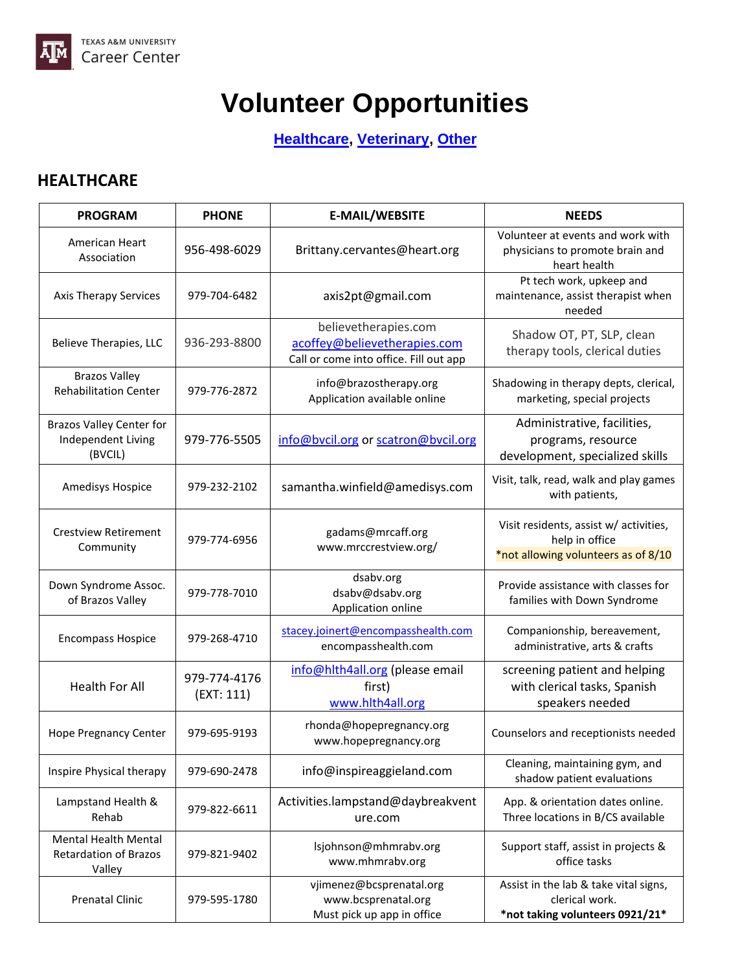

## **Volunteer Opportunities**

**[Healthcare,](#page-0-0) [Veterinary,](#page-1-0) [Other](#page-1-1)**

## <span id="page-0-0"></span>**HEALTHCARE**

| <b>PROGRAM</b>                                                        | <b>PHONE</b>               | <b>E-MAIL/WEBSITE</b>                                                                          | <b>NEEDS</b>                                                                                    |
|-----------------------------------------------------------------------|----------------------------|------------------------------------------------------------------------------------------------|-------------------------------------------------------------------------------------------------|
| American Heart<br>Association                                         | 956-498-6029               | Brittany.cervantes@heart.org                                                                   | Volunteer at events and work with<br>physicians to promote brain and<br>heart health            |
| <b>Axis Therapy Services</b>                                          | 979-704-6482               | axis2pt@gmail.com                                                                              | Pt tech work, upkeep and<br>maintenance, assist therapist when<br>needed                        |
| Believe Therapies, LLC                                                | 936-293-8800               | believetherapies.com<br>acoffey@believetherapies.com<br>Call or come into office. Fill out app | Shadow OT, PT, SLP, clean<br>therapy tools, clerical duties                                     |
| <b>Brazos Valley</b><br><b>Rehabilitation Center</b>                  | 979-776-2872               | info@brazostherapy.org<br>Application available online                                         | Shadowing in therapy depts, clerical,<br>marketing, special projects                            |
| <b>Brazos Valley Center for</b><br>Independent Living<br>(BVCIL)      | 979-776-5505               | info@bvcil.org or scatron@bvcil.org                                                            | Administrative, facilities,<br>programs, resource<br>development, specialized skills            |
| Amedisys Hospice                                                      | 979-232-2102               | samantha.winfield@amedisys.com                                                                 | Visit, talk, read, walk and play games<br>with patients,                                        |
| <b>Crestview Retirement</b><br>Community                              | 979-774-6956               | gadams@mrcaff.org<br>www.mrccrestview.org/                                                     | Visit residents, assist w/ activities,<br>help in office<br>*not allowing volunteers as of 8/10 |
| Down Syndrome Assoc.<br>of Brazos Valley                              | 979-778-7010               | dsabv.org<br>dsabv@dsabv.org<br>Application online                                             | Provide assistance with classes for<br>families with Down Syndrome                              |
| <b>Encompass Hospice</b>                                              | 979-268-4710               | stacey.joinert@encompasshealth.com<br>encompasshealth.com                                      | Companionship, bereavement,<br>administrative, arts & crafts                                    |
| <b>Health For All</b>                                                 | 979-774-4176<br>(EXT: 111) | info@hlth4all.org (please email<br>first)<br>www.hlth4all.org                                  | screening patient and helping<br>with clerical tasks, Spanish<br>speakers needed                |
| <b>Hope Pregnancy Center</b>                                          | 979-695-9193               | rhonda@hopepregnancy.org<br>www.hopepregnancy.org                                              | Counselors and receptionists needed                                                             |
| Inspire Physical therapy                                              | 979-690-2478               | info@inspireaggieland.com                                                                      | Cleaning, maintaining gym, and<br>shadow patient evaluations                                    |
| Lampstand Health &<br>Rehab                                           | 979-822-6611               | Activities.lampstand@daybreakvent<br>ure.com                                                   | App. & orientation dates online.<br>Three locations in B/CS available                           |
| <b>Mental Health Mental</b><br><b>Retardation of Brazos</b><br>Valley | 979-821-9402               | lsjohnson@mhmrabv.org<br>www.mhmrabv.org                                                       | Support staff, assist in projects &<br>office tasks                                             |
| <b>Prenatal Clinic</b>                                                | 979-595-1780               | vjimenez@bcsprenatal.org<br>www.bcsprenatal.org<br>Must pick up app in office                  | Assist in the lab & take vital signs,<br>clerical work.<br>*not taking volunteers 0921/21*      |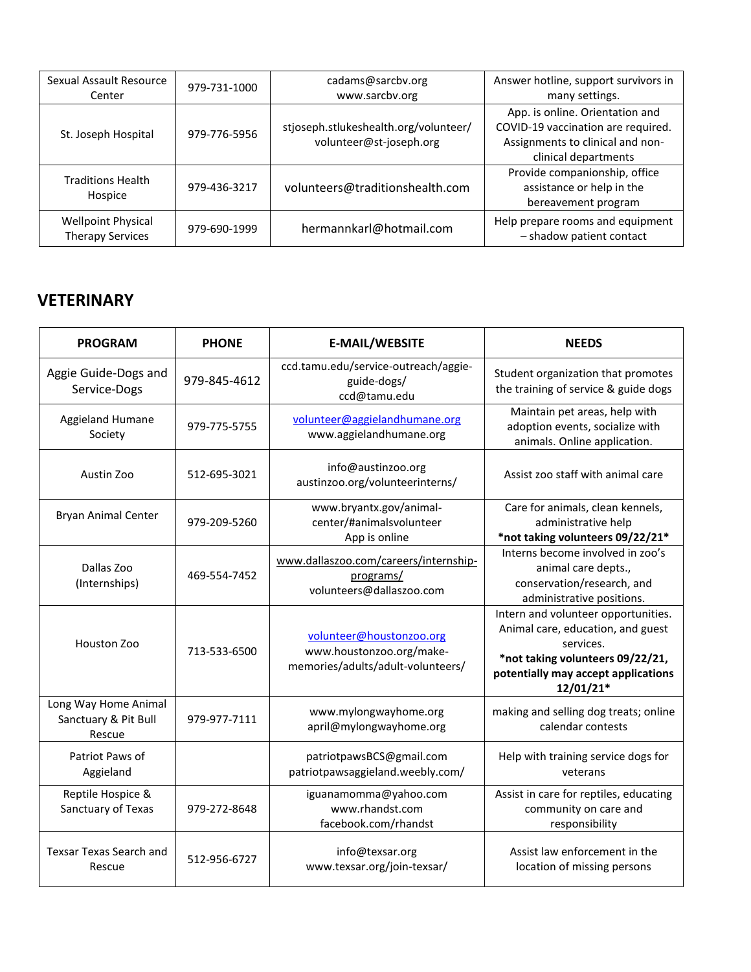| Sexual Assault Resource<br>Center                    | 979-731-1000 | cadams@sarcbv.org<br>www.sarcbv.org                              | Answer hotline, support survivors in<br>many settings.                                                                            |
|------------------------------------------------------|--------------|------------------------------------------------------------------|-----------------------------------------------------------------------------------------------------------------------------------|
| St. Joseph Hospital                                  | 979-776-5956 | stjoseph.stlukeshealth.org/volunteer/<br>volunteer@st-joseph.org | App. is online. Orientation and<br>COVID-19 vaccination are required.<br>Assignments to clinical and non-<br>clinical departments |
| <b>Traditions Health</b><br>Hospice                  | 979-436-3217 | volunteers@traditionshealth.com                                  | Provide companionship, office<br>assistance or help in the<br>bereavement program                                                 |
| <b>Wellpoint Physical</b><br><b>Therapy Services</b> | 979-690-1999 | hermannkarl@hotmail.com                                          | Help prepare rooms and equipment<br>- shadow patient contact                                                                      |

## <span id="page-1-0"></span>**VETERINARY**

<span id="page-1-1"></span>

| <b>PROGRAM</b>                                         | <b>PHONE</b> | <b>E-MAIL/WEBSITE</b>                                                                     | <b>NEEDS</b>                                                                                                                                                                    |
|--------------------------------------------------------|--------------|-------------------------------------------------------------------------------------------|---------------------------------------------------------------------------------------------------------------------------------------------------------------------------------|
| Aggie Guide-Dogs and<br>Service-Dogs                   | 979-845-4612 | ccd.tamu.edu/service-outreach/aggie-<br>guide-dogs/<br>ccd@tamu.edu                       | Student organization that promotes<br>the training of service & guide dogs                                                                                                      |
| Aggieland Humane<br>Society                            | 979-775-5755 | volunteer@aggielandhumane.org<br>www.aggielandhumane.org                                  | Maintain pet areas, help with<br>adoption events, socialize with<br>animals. Online application.                                                                                |
| Austin Zoo                                             | 512-695-3021 | info@austinzoo.org<br>austinzoo.org/volunteerinterns/                                     | Assist zoo staff with animal care                                                                                                                                               |
| <b>Bryan Animal Center</b>                             | 979-209-5260 | www.bryantx.gov/animal-<br>center/#animalsvolunteer<br>App is online                      | Care for animals, clean kennels,<br>administrative help<br>*not taking volunteers 09/22/21*                                                                                     |
| Dallas Zoo<br>(Internships)                            | 469-554-7452 | www.dallaszoo.com/careers/internship-<br>programs/<br>volunteers@dallaszoo.com            | Interns become involved in zoo's<br>animal care depts.,<br>conservation/research, and<br>administrative positions.                                                              |
| Houston Zoo                                            | 713-533-6500 | volunteer@houstonzoo.org<br>www.houstonzoo.org/make-<br>memories/adults/adult-volunteers/ | Intern and volunteer opportunities.<br>Animal care, education, and guest<br>services.<br>*not taking volunteers 09/22/21,<br>potentially may accept applications<br>$12/01/21*$ |
| Long Way Home Animal<br>Sanctuary & Pit Bull<br>Rescue | 979-977-7111 | www.mylongwayhome.org<br>april@mylongwayhome.org                                          | making and selling dog treats; online<br>calendar contests                                                                                                                      |
| Patriot Paws of<br>Aggieland                           |              | patriotpawsBCS@gmail.com<br>patriotpawsaggieland.weebly.com/                              | Help with training service dogs for<br>veterans                                                                                                                                 |
| Reptile Hospice &<br>Sanctuary of Texas                | 979-272-8648 | iguanamomma@yahoo.com<br>www.rhandst.com<br>facebook.com/rhandst                          | Assist in care for reptiles, educating<br>community on care and<br>responsibility                                                                                               |
| <b>Texsar Texas Search and</b><br>Rescue               | 512-956-6727 | info@texsar.org<br>www.texsar.org/join-texsar/                                            | Assist law enforcement in the<br>location of missing persons                                                                                                                    |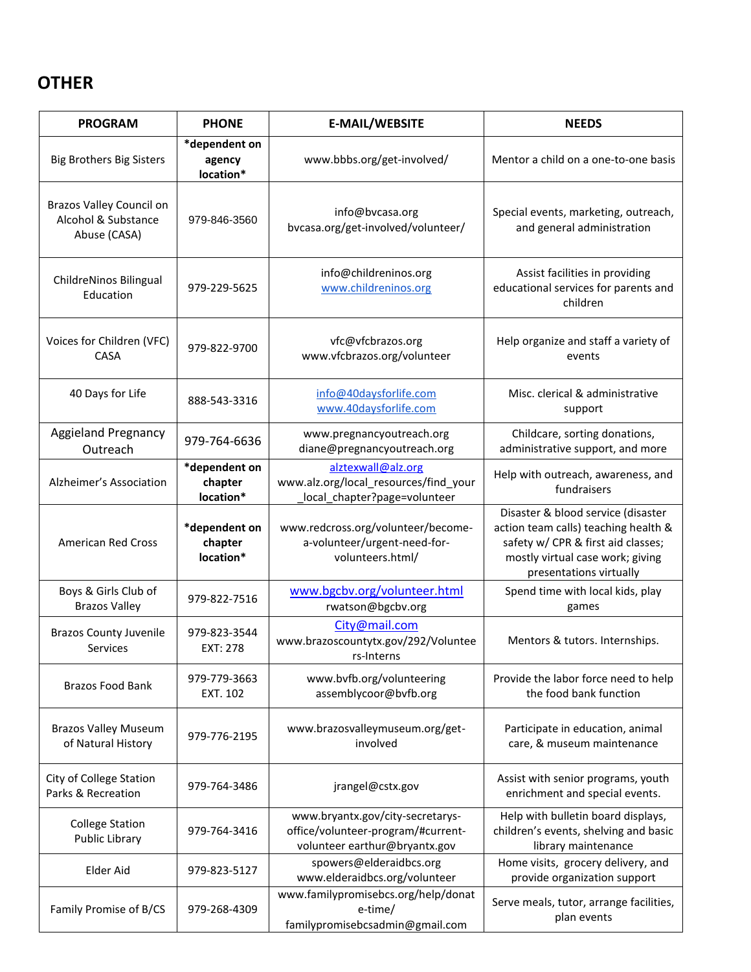## **OTHER**

| <b>PROGRAM</b>                                                  | <b>PHONE</b>                          | <b>E-MAIL/WEBSITE</b>                                                                                   | <b>NEEDS</b>                                                                                                                                                                    |
|-----------------------------------------------------------------|---------------------------------------|---------------------------------------------------------------------------------------------------------|---------------------------------------------------------------------------------------------------------------------------------------------------------------------------------|
| <b>Big Brothers Big Sisters</b>                                 | *dependent on<br>agency<br>location*  | www.bbbs.org/get-involved/                                                                              | Mentor a child on a one-to-one basis                                                                                                                                            |
| Brazos Valley Council on<br>Alcohol & Substance<br>Abuse (CASA) | 979-846-3560                          | info@bvcasa.org<br>bvcasa.org/get-involved/volunteer/                                                   | Special events, marketing, outreach,<br>and general administration                                                                                                              |
| ChildreNinos Bilingual<br>Education                             | 979-229-5625                          | info@childreninos.org<br>www.childreninos.org                                                           | Assist facilities in providing<br>educational services for parents and<br>children                                                                                              |
| Voices for Children (VFC)<br>CASA                               | 979-822-9700                          | vfc@vfcbrazos.org<br>www.vfcbrazos.org/volunteer                                                        | Help organize and staff a variety of<br>events                                                                                                                                  |
| 40 Days for Life                                                | 888-543-3316                          | info@40daysforlife.com<br>www.40daysforlife.com                                                         | Misc. clerical & administrative<br>support                                                                                                                                      |
| <b>Aggieland Pregnancy</b><br>Outreach                          | 979-764-6636                          | www.pregnancyoutreach.org<br>diane@pregnancyoutreach.org                                                | Childcare, sorting donations,<br>administrative support, and more                                                                                                               |
| Alzheimer's Association                                         | *dependent on<br>chapter<br>location* | alztexwall@alz.org<br>www.alz.org/local_resources/find_your<br>local_chapter?page=volunteer             | Help with outreach, awareness, and<br>fundraisers                                                                                                                               |
| American Red Cross                                              | *dependent on<br>chapter<br>location* | www.redcross.org/volunteer/become-<br>a-volunteer/urgent-need-for-<br>volunteers.html/                  | Disaster & blood service (disaster<br>action team calls) teaching health &<br>safety w/ CPR & first aid classes;<br>mostly virtual case work; giving<br>presentations virtually |
| Boys & Girls Club of<br><b>Brazos Valley</b>                    | 979-822-7516                          | www.bgcbv.org/volunteer.html<br>rwatson@bgcbv.org                                                       | Spend time with local kids, play<br>games                                                                                                                                       |
| <b>Brazos County Juvenile</b><br>Services                       | 979-823-3544<br>EXT: 278              | City@mail.com<br>www.brazoscountytx.gov/292/Voluntee<br>rs-Interns                                      | Mentors & tutors. Internships.                                                                                                                                                  |
| <b>Brazos Food Bank</b>                                         | 979-779-3663<br><b>EXT. 102</b>       | www.bvfb.org/volunteering<br>assemblycoor@bvfb.org                                                      | Provide the labor force need to help<br>the food bank function                                                                                                                  |
| <b>Brazos Valley Museum</b><br>of Natural History               | 979-776-2195                          | www.brazosvalleymuseum.org/get-<br>involved                                                             | Participate in education, animal<br>care, & museum maintenance                                                                                                                  |
| City of College Station<br>Parks & Recreation                   | 979-764-3486                          | jrangel@cstx.gov                                                                                        | Assist with senior programs, youth<br>enrichment and special events.                                                                                                            |
| <b>College Station</b><br><b>Public Library</b>                 | 979-764-3416                          | www.bryantx.gov/city-secretarys-<br>office/volunteer-program/#current-<br>volunteer earthur@bryantx.gov | Help with bulletin board displays,<br>children's events, shelving and basic<br>library maintenance                                                                              |
| Elder Aid                                                       | 979-823-5127                          | spowers@elderaidbcs.org<br>www.elderaidbcs.org/volunteer                                                | Home visits, grocery delivery, and<br>provide organization support                                                                                                              |
| Family Promise of B/CS                                          | 979-268-4309                          | www.familypromisebcs.org/help/donat<br>e-time/<br>familypromisebcsadmin@gmail.com                       | Serve meals, tutor, arrange facilities,<br>plan events                                                                                                                          |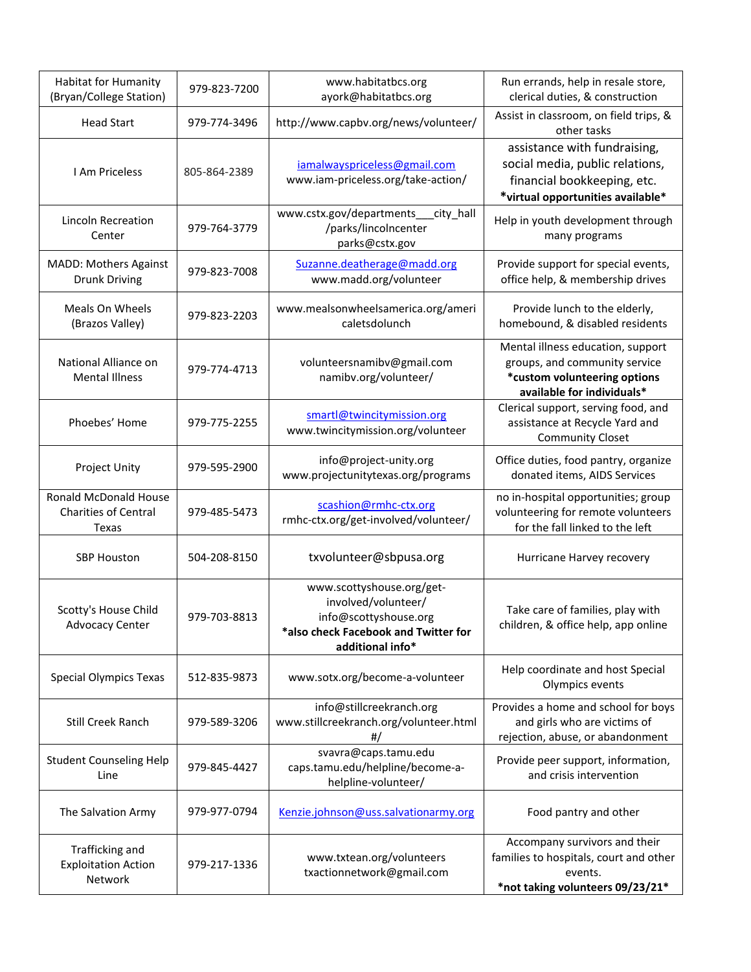| <b>Habitat for Humanity</b><br>(Bryan/College Station)        | 979-823-7200 | www.habitatbcs.org<br>ayork@habitatbcs.org                                                                                            | Run errands, help in resale store,<br>clerical duties, & construction                                                               |
|---------------------------------------------------------------|--------------|---------------------------------------------------------------------------------------------------------------------------------------|-------------------------------------------------------------------------------------------------------------------------------------|
| <b>Head Start</b>                                             | 979-774-3496 | http://www.capbv.org/news/volunteer/                                                                                                  | Assist in classroom, on field trips, &<br>other tasks                                                                               |
| <b>I Am Priceless</b>                                         | 805-864-2389 | iamalwayspriceless@gmail.com<br>www.iam-priceless.org/take-action/                                                                    | assistance with fundraising,<br>social media, public relations,<br>financial bookkeeping, etc.<br>*virtual opportunities available* |
| <b>Lincoln Recreation</b><br>Center                           | 979-764-3779 | www.cstx.gov/departments__city_hall<br>/parks/lincolncenter<br>parks@cstx.gov                                                         | Help in youth development through<br>many programs                                                                                  |
| <b>MADD: Mothers Against</b><br><b>Drunk Driving</b>          | 979-823-7008 | Suzanne.deatherage@madd.org<br>www.madd.org/volunteer                                                                                 | Provide support for special events,<br>office help, & membership drives                                                             |
| Meals On Wheels<br>(Brazos Valley)                            | 979-823-2203 | www.mealsonwheelsamerica.org/ameri<br>caletsdolunch                                                                                   | Provide lunch to the elderly,<br>homebound, & disabled residents                                                                    |
| National Alliance on<br><b>Mental Illness</b>                 | 979-774-4713 | volunteersnamibv@gmail.com<br>namibv.org/volunteer/                                                                                   | Mental illness education, support<br>groups, and community service<br>*custom volunteering options<br>available for individuals*    |
| Phoebes' Home                                                 | 979-775-2255 | smartl@twincitymission.org<br>www.twincitymission.org/volunteer                                                                       | Clerical support, serving food, and<br>assistance at Recycle Yard and<br><b>Community Closet</b>                                    |
| Project Unity                                                 | 979-595-2900 | info@project-unity.org<br>www.projectunitytexas.org/programs                                                                          | Office duties, food pantry, organize<br>donated items, AIDS Services                                                                |
| Ronald McDonald House<br><b>Charities of Central</b><br>Texas | 979-485-5473 | scashion@rmhc-ctx.org<br>rmhc-ctx.org/get-involved/volunteer/                                                                         | no in-hospital opportunities; group<br>volunteering for remote volunteers<br>for the fall linked to the left                        |
| <b>SBP Houston</b>                                            | 504-208-8150 | txvolunteer@sbpusa.org                                                                                                                | Hurricane Harvey recovery                                                                                                           |
| Scotty's House Child<br><b>Advocacy Center</b>                | 979-703-8813 | www.scottyshouse.org/get-<br>involved/volunteer/<br>info@scottyshouse.org<br>*also check Facebook and Twitter for<br>additional info* | Take care of families, play with<br>children, & office help, app online                                                             |
| <b>Special Olympics Texas</b>                                 | 512-835-9873 | www.sotx.org/become-a-volunteer                                                                                                       | Help coordinate and host Special<br>Olympics events                                                                                 |
| <b>Still Creek Ranch</b>                                      | 979-589-3206 | info@stillcreekranch.org<br>www.stillcreekranch.org/volunteer.html<br>#/                                                              | Provides a home and school for boys<br>and girls who are victims of<br>rejection, abuse, or abandonment                             |
| <b>Student Counseling Help</b><br>Line                        | 979-845-4427 | svavra@caps.tamu.edu<br>caps.tamu.edu/helpline/become-a-<br>helpline-volunteer/                                                       | Provide peer support, information,<br>and crisis intervention                                                                       |
| The Salvation Army                                            | 979-977-0794 | Kenzie.johnson@uss.salvationarmy.org                                                                                                  | Food pantry and other                                                                                                               |
| Trafficking and<br><b>Exploitation Action</b><br>Network      | 979-217-1336 | www.txtean.org/volunteers<br>txactionnetwork@gmail.com                                                                                | Accompany survivors and their<br>families to hospitals, court and other<br>events.<br>*not taking volunteers 09/23/21*              |